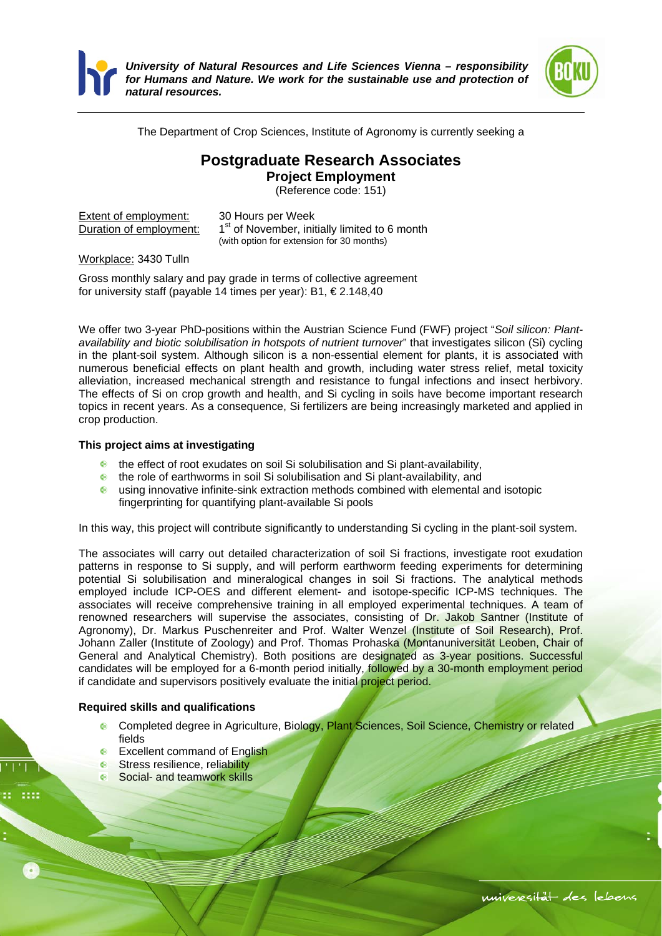

*University of Natural Resources and Life Sciences Vienna – responsibility for Humans and Nature. We work for the sustainable use and protection of natural resources.* 



The Department of Crop Sciences, Institute of Agronomy is currently seeking a

## **Postgraduate Research Associates**

**Project Employment** 

(Reference code: 151)

| Extent of employment:   | $30+$   |
|-------------------------|---------|
| Duration of employment: | $1st$ O |
|                         |         |

**Fours per Week** of November, initially limited to 6 month (with option for extension for 30 months)

Workplace: 3430 Tulln

Gross monthly salary and pay grade in terms of collective agreement for university staff (payable 14 times per year): B1, € 2.148,40

We offer two 3-year PhD-positions within the Austrian Science Fund (FWF) project "*Soil silicon: Plantavailability and biotic solubilisation in hotspots of nutrient turnover*" that investigates silicon (Si) cycling in the plant-soil system. Although silicon is a non-essential element for plants, it is associated with numerous beneficial effects on plant health and growth, including water stress relief, metal toxicity alleviation, increased mechanical strength and resistance to fungal infections and insect herbivory. The effects of Si on crop growth and health, and Si cycling in soils have become important research topics in recent years. As a consequence, Si fertilizers are being increasingly marketed and applied in crop production.

## **This project aims at investigating**

- **the effect of root exudates on soil Si solubilisation and Si plant-availability,**
- the role of earthworms in soil Si solubilisation and Si plant-availability, and
- using innovative infinite-sink extraction methods combined with elemental and isotopic fingerprinting for quantifying plant-available Si pools

In this way, this project will contribute significantly to understanding Si cycling in the plant-soil system.

The associates will carry out detailed characterization of soil Si fractions, investigate root exudation patterns in response to Si supply, and will perform earthworm feeding experiments for determining potential Si solubilisation and mineralogical changes in soil Si fractions. The analytical methods employed include ICP-OES and different element- and isotope-specific ICP-MS techniques. The associates will receive comprehensive training in all employed experimental techniques. A team of renowned researchers will supervise the associates, consisting of Dr. Jakob Santner (Institute of Agronomy), Dr. Markus Puschenreiter and Prof. Walter Wenzel (Institute of Soil Research), Prof. Johann Zaller (Institute of Zoology) and Prof. Thomas Prohaska (Montanuniversität Leoben, Chair of General and Analytical Chemistry). Both positions are designated as 3-year positions. Successful candidates will be employed for a 6-month period initially, followed by a 30-month employment period if candidate and supervisors positively evaluate the initial project period.

## **Required skills and qualifications**

- <sup>®</sup> Completed degree in Agriculture, Biology, Plant Sciences, Soil Science, Chemistry or related fields
- **Excellent command of English**
- **Stress resilience, reliability**
- Social- and teamwork skills